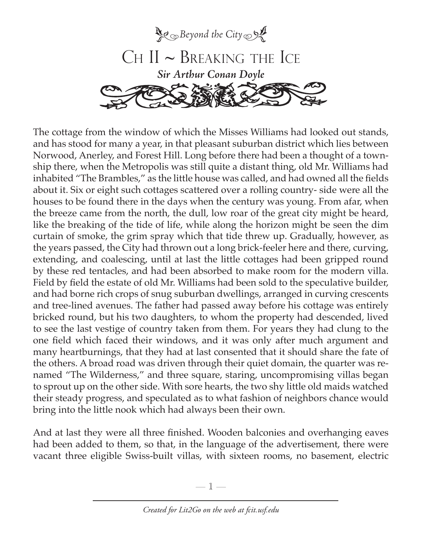

The cottage from the window of which the Misses Williams had looked out stands, and has stood for many a year, in that pleasant suburban district which lies between Norwood, Anerley, and Forest Hill. Long before there had been a thought of a township there, when the Metropolis was still quite a distant thing, old Mr. Williams had inhabited "The Brambles," as the little house was called, and had owned all the fields about it. Six or eight such cottages scattered over a rolling country- side were all the houses to be found there in the days when the century was young. From afar, when the breeze came from the north, the dull, low roar of the great city might be heard, like the breaking of the tide of life, while along the horizon might be seen the dim curtain of smoke, the grim spray which that tide threw up. Gradually, however, as the years passed, the City had thrown out a long brick-feeler here and there, curving, extending, and coalescing, until at last the little cottages had been gripped round by these red tentacles, and had been absorbed to make room for the modern villa. Field by field the estate of old Mr. Williams had been sold to the speculative builder, and had borne rich crops of snug suburban dwellings, arranged in curving crescents and tree-lined avenues. The father had passed away before his cottage was entirely bricked round, but his two daughters, to whom the property had descended, lived to see the last vestige of country taken from them. For years they had clung to the one field which faced their windows, and it was only after much argument and many heartburnings, that they had at last consented that it should share the fate of the others. A broad road was driven through their quiet domain, the quarter was renamed "The Wilderness," and three square, staring, uncompromising villas began to sprout up on the other side. With sore hearts, the two shy little old maids watched their steady progress, and speculated as to what fashion of neighbors chance would bring into the little nook which had always been their own.

And at last they were all three finished. Wooden balconies and overhanging eaves had been added to them, so that, in the language of the advertisement, there were vacant three eligible Swiss-built villas, with sixteen rooms, no basement, electric

—  $\mathbb{1}$  —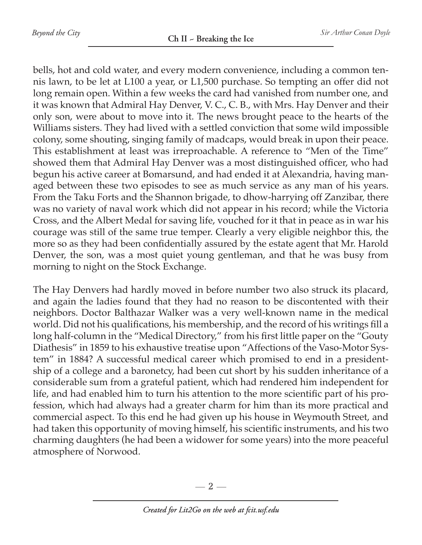bells, hot and cold water, and every modern convenience, including a common tennis lawn, to be let at L100 a year, or L1,500 purchase. So tempting an offer did not long remain open. Within a few weeks the card had vanished from number one, and it was known that Admiral Hay Denver, V. C., C. B., with Mrs. Hay Denver and their only son, were about to move into it. The news brought peace to the hearts of the Williams sisters. They had lived with a settled conviction that some wild impossible colony, some shouting, singing family of madcaps, would break in upon their peace. This establishment at least was irreproachable. A reference to "Men of the Time" showed them that Admiral Hay Denver was a most distinguished officer, who had begun his active career at Bomarsund, and had ended it at Alexandria, having managed between these two episodes to see as much service as any man of his years. From the Taku Forts and the Shannon brigade, to dhow-harrying off Zanzibar, there was no variety of naval work which did not appear in his record; while the Victoria Cross, and the Albert Medal for saving life, vouched for it that in peace as in war his courage was still of the same true temper. Clearly a very eligible neighbor this, the more so as they had been confidentially assured by the estate agent that Mr. Harold Denver, the son, was a most quiet young gentleman, and that he was busy from morning to night on the Stock Exchange.

The Hay Denvers had hardly moved in before number two also struck its placard, and again the ladies found that they had no reason to be discontented with their neighbors. Doctor Balthazar Walker was a very well-known name in the medical world. Did not his qualifications, his membership, and the record of his writings fill a long half-column in the "Medical Directory," from his first little paper on the "Gouty Diathesis" in 1859 to his exhaustive treatise upon "Affections of the Vaso-Motor System" in 1884? A successful medical career which promised to end in a presidentship of a college and a baronetcy, had been cut short by his sudden inheritance of a considerable sum from a grateful patient, which had rendered him independent for life, and had enabled him to turn his attention to the more scientific part of his profession, which had always had a greater charm for him than its more practical and commercial aspect. To this end he had given up his house in Weymouth Street, and had taken this opportunity of moving himself, his scientific instruments, and his two charming daughters (he had been a widower for some years) into the more peaceful atmosphere of Norwood.

— 2 —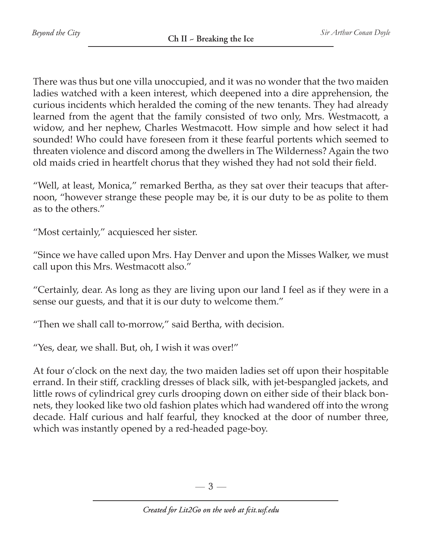There was thus but one villa unoccupied, and it was no wonder that the two maiden ladies watched with a keen interest, which deepened into a dire apprehension, the curious incidents which heralded the coming of the new tenants. They had already learned from the agent that the family consisted of two only, Mrs. Westmacott, a widow, and her nephew, Charles Westmacott. How simple and how select it had sounded! Who could have foreseen from it these fearful portents which seemed to threaten violence and discord among the dwellers in The Wilderness? Again the two old maids cried in heartfelt chorus that they wished they had not sold their field.

"Well, at least, Monica," remarked Bertha, as they sat over their teacups that afternoon, "however strange these people may be, it is our duty to be as polite to them as to the others."

"Most certainly," acquiesced her sister.

"Since we have called upon Mrs. Hay Denver and upon the Misses Walker, we must call upon this Mrs. Westmacott also."

"Certainly, dear. As long as they are living upon our land I feel as if they were in a sense our guests, and that it is our duty to welcome them."

"Then we shall call to-morrow," said Bertha, with decision.

"Yes, dear, we shall. But, oh, I wish it was over!"

At four o'clock on the next day, the two maiden ladies set off upon their hospitable errand. In their stiff, crackling dresses of black silk, with jet-bespangled jackets, and little rows of cylindrical grey curls drooping down on either side of their black bonnets, they looked like two old fashion plates which had wandered off into the wrong decade. Half curious and half fearful, they knocked at the door of number three, which was instantly opened by a red-headed page-boy.

 $-3-$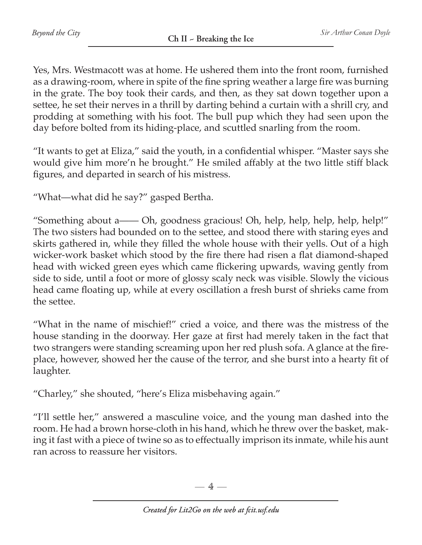Yes, Mrs. Westmacott was at home. He ushered them into the front room, furnished as a drawing-room, where in spite of the fine spring weather a large fire was burning in the grate. The boy took their cards, and then, as they sat down together upon a settee, he set their nerves in a thrill by darting behind a curtain with a shrill cry, and prodding at something with his foot. The bull pup which they had seen upon the day before bolted from its hiding-place, and scuttled snarling from the room.

"It wants to get at Eliza," said the youth, in a confidential whisper. "Master says she would give him more'n he brought." He smiled affably at the two little stiff black figures, and departed in search of his mistress.

"What—what did he say?" gasped Bertha.

"Something about a—— Oh, goodness gracious! Oh, help, help, help, help, help!" The two sisters had bounded on to the settee, and stood there with staring eyes and skirts gathered in, while they filled the whole house with their yells. Out of a high wicker-work basket which stood by the fire there had risen a flat diamond-shaped head with wicked green eyes which came flickering upwards, waving gently from side to side, until a foot or more of glossy scaly neck was visible. Slowly the vicious head came floating up, while at every oscillation a fresh burst of shrieks came from the settee.

"What in the name of mischief!" cried a voice, and there was the mistress of the house standing in the doorway. Her gaze at first had merely taken in the fact that two strangers were standing screaming upon her red plush sofa. A glance at the fireplace, however, showed her the cause of the terror, and she burst into a hearty fit of laughter.

"Charley," she shouted, "here's Eliza misbehaving again."

"I'll settle her," answered a masculine voice, and the young man dashed into the room. He had a brown horse-cloth in his hand, which he threw over the basket, making it fast with a piece of twine so as to effectually imprison its inmate, while his aunt ran across to reassure her visitors.

 $-4-$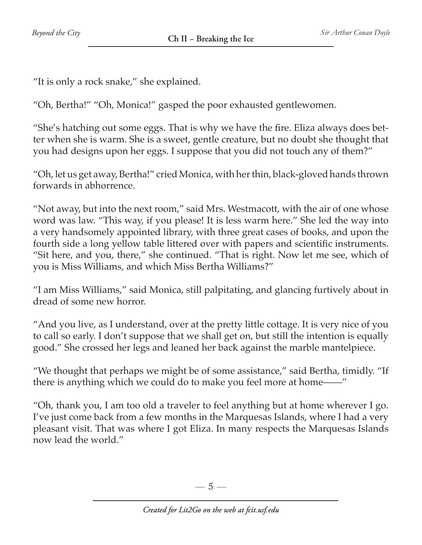"It is only a rock snake," she explained.

"Oh, Bertha!" "Oh, Monica!" gasped the poor exhausted gentlewomen.

"She's hatching out some eggs. That is why we have the fire. Eliza always does better when she is warm. She is a sweet, gentle creature, but no doubt she thought that you had designs upon her eggs. I suppose that you did not touch any of them?"

"Oh, let us get away, Bertha!" cried Monica, with her thin, black-gloved hands thrown forwards in abhorrence.

"Not away, but into the next room," said Mrs. Westmacott, with the air of one whose word was law. "This way, if you please! It is less warm here." She led the way into a very handsomely appointed library, with three great cases of books, and upon the fourth side a long yellow table littered over with papers and scientific instruments. "Sit here, and you, there," she continued. "That is right. Now let me see, which of you is Miss Williams, and which Miss Bertha Williams?"

"I am Miss Williams," said Monica, still palpitating, and glancing furtively about in dread of some new horror.

"And you live, as I understand, over at the pretty little cottage. It is very nice of you to call so early. I don't suppose that we shall get on, but still the intention is equally good." She crossed her legs and leaned her back against the marble mantelpiece.

"We thought that perhaps we might be of some assistance," said Bertha, timidly. "If there is anything which we could do to make you feel more at home——"

"Oh, thank you, I am too old a traveler to feel anything but at home wherever I go. I've just come back from a few months in the Marquesas Islands, where I had a very pleasant visit. That was where I got Eliza. In many respects the Marquesas Islands now lead the world."

—  $5-$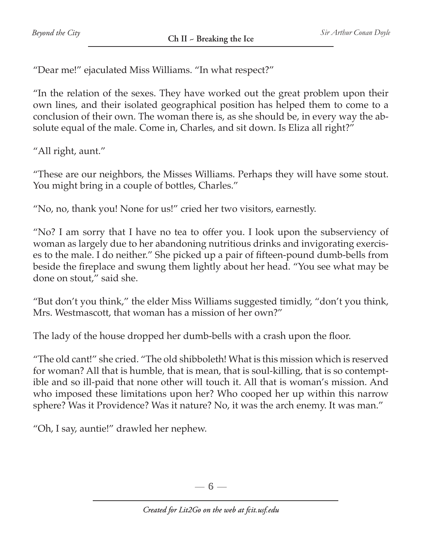"Dear me!" ejaculated Miss Williams. "In what respect?"

"In the relation of the sexes. They have worked out the great problem upon their own lines, and their isolated geographical position has helped them to come to a conclusion of their own. The woman there is, as she should be, in every way the absolute equal of the male. Come in, Charles, and sit down. Is Eliza all right?"

"All right, aunt."

"These are our neighbors, the Misses Williams. Perhaps they will have some stout. You might bring in a couple of bottles, Charles."

"No, no, thank you! None for us!" cried her two visitors, earnestly.

"No? I am sorry that I have no tea to offer you. I look upon the subserviency of woman as largely due to her abandoning nutritious drinks and invigorating exercises to the male. I do neither." She picked up a pair of fifteen-pound dumb-bells from beside the fireplace and swung them lightly about her head. "You see what may be done on stout," said she.

"But don't you think," the elder Miss Williams suggested timidly, "don't you think, Mrs. Westmascott, that woman has a mission of her own?"

The lady of the house dropped her dumb-bells with a crash upon the floor.

"The old cant!" she cried. "The old shibboleth! What is this mission which is reserved for woman? All that is humble, that is mean, that is soul-killing, that is so contemptible and so ill-paid that none other will touch it. All that is woman's mission. And who imposed these limitations upon her? Who cooped her up within this narrow sphere? Was it Providence? Was it nature? No, it was the arch enemy. It was man."

"Oh, I say, auntie!" drawled her nephew.

—  $6-$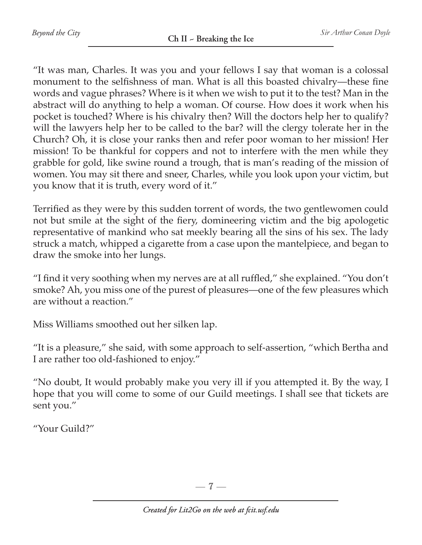"It was man, Charles. It was you and your fellows I say that woman is a colossal monument to the selfishness of man. What is all this boasted chivalry—these fine words and vague phrases? Where is it when we wish to put it to the test? Man in the abstract will do anything to help a woman. Of course. How does it work when his pocket is touched? Where is his chivalry then? Will the doctors help her to qualify? will the lawyers help her to be called to the bar? will the clergy tolerate her in the Church? Oh, it is close your ranks then and refer poor woman to her mission! Her mission! To be thankful for coppers and not to interfere with the men while they grabble for gold, like swine round a trough, that is man's reading of the mission of women. You may sit there and sneer, Charles, while you look upon your victim, but you know that it is truth, every word of it."

Terrified as they were by this sudden torrent of words, the two gentlewomen could not but smile at the sight of the fiery, domineering victim and the big apologetic representative of mankind who sat meekly bearing all the sins of his sex. The lady struck a match, whipped a cigarette from a case upon the mantelpiece, and began to draw the smoke into her lungs.

"I find it very soothing when my nerves are at all ruffled," she explained. "You don't smoke? Ah, you miss one of the purest of pleasures—one of the few pleasures which are without a reaction."

Miss Williams smoothed out her silken lap.

"It is a pleasure," she said, with some approach to self-assertion, "which Bertha and I are rather too old-fashioned to enjoy."

"No doubt, It would probably make you very ill if you attempted it. By the way, I hope that you will come to some of our Guild meetings. I shall see that tickets are sent you."

"Your Guild?"

—  $7-$